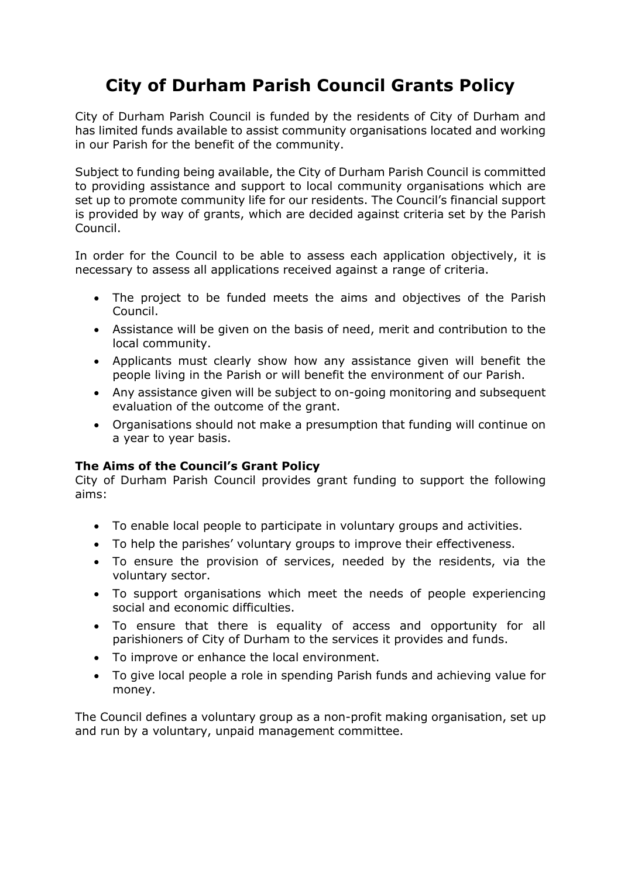# **City of Durham Parish Council Grants Policy**

City of Durham Parish Council is funded by the residents of City of Durham and has limited funds available to assist community organisations located and working in our Parish for the benefit of the community.

Subject to funding being available, the City of Durham Parish Council is committed to providing assistance and support to local community organisations which are set up to promote community life for our residents. The Council's financial support is provided by way of grants, which are decided against criteria set by the Parish Council.

In order for the Council to be able to assess each application objectively, it is necessary to assess all applications received against a range of criteria.

- The project to be funded meets the aims and objectives of the Parish Council.
- Assistance will be given on the basis of need, merit and contribution to the local community.
- Applicants must clearly show how any assistance given will benefit the people living in the Parish or will benefit the environment of our Parish.
- Any assistance given will be subject to on-going monitoring and subsequent evaluation of the outcome of the grant.
- Organisations should not make a presumption that funding will continue on a year to year basis.

### **The Aims of the Council's Grant Policy**

City of Durham Parish Council provides grant funding to support the following aims:

- To enable local people to participate in voluntary groups and activities.
- To help the parishes' voluntary groups to improve their effectiveness.
- To ensure the provision of services, needed by the residents, via the voluntary sector.
- To support organisations which meet the needs of people experiencing social and economic difficulties.
- To ensure that there is equality of access and opportunity for all parishioners of City of Durham to the services it provides and funds.
- To improve or enhance the local environment.
- To give local people a role in spending Parish funds and achieving value for money.

The Council defines a voluntary group as a non-profit making organisation, set up and run by a voluntary, unpaid management committee.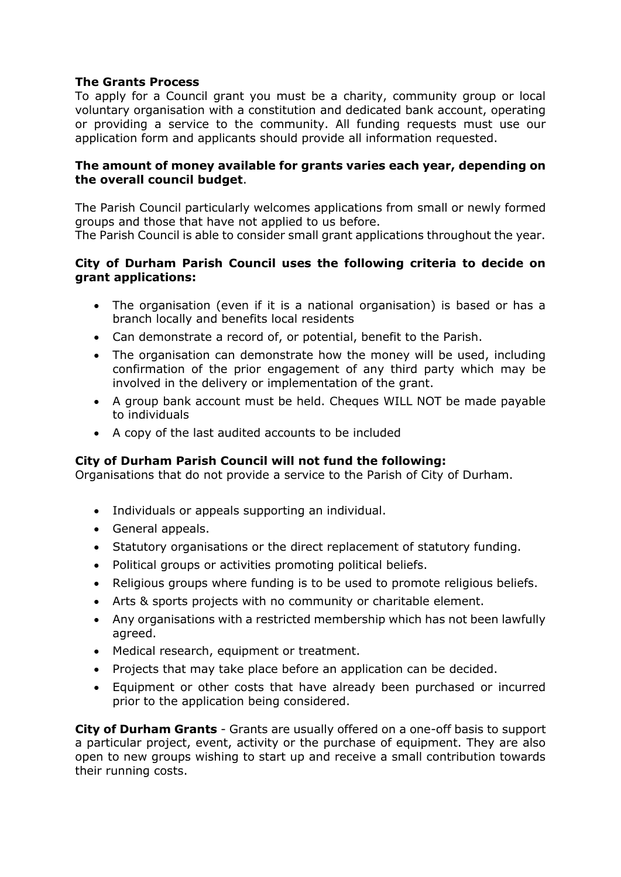## **The Grants Process**

To apply for a Council grant you must be a charity, community group or local voluntary organisation with a constitution and dedicated bank account, operating or providing a service to the community. All funding requests must use our application form and applicants should provide all information requested.

#### **The amount of money available for grants varies each year, depending on the overall council budget**.

The Parish Council particularly welcomes applications from small or newly formed groups and those that have not applied to us before.

The Parish Council is able to consider small grant applications throughout the year.

### **City of Durham Parish Council uses the following criteria to decide on grant applications:**

- The organisation (even if it is a national organisation) is based or has a branch locally and benefits local residents
- Can demonstrate a record of, or potential, benefit to the Parish.
- The organisation can demonstrate how the money will be used, including confirmation of the prior engagement of any third party which may be involved in the delivery or implementation of the grant.
- A group bank account must be held. Cheques WILL NOT be made payable to individuals
- A copy of the last audited accounts to be included

### **City of Durham Parish Council will not fund the following:**

Organisations that do not provide a service to the Parish of City of Durham.

- Individuals or appeals supporting an individual.
- General appeals.
- Statutory organisations or the direct replacement of statutory funding.
- Political groups or activities promoting political beliefs.
- Religious groups where funding is to be used to promote religious beliefs.
- Arts & sports projects with no community or charitable element.
- Any organisations with a restricted membership which has not been lawfully agreed.
- Medical research, equipment or treatment.
- Projects that may take place before an application can be decided.
- Equipment or other costs that have already been purchased or incurred prior to the application being considered.

**City of Durham Grants** - Grants are usually offered on a one-off basis to support a particular project, event, activity or the purchase of equipment. They are also open to new groups wishing to start up and receive a small contribution towards their running costs.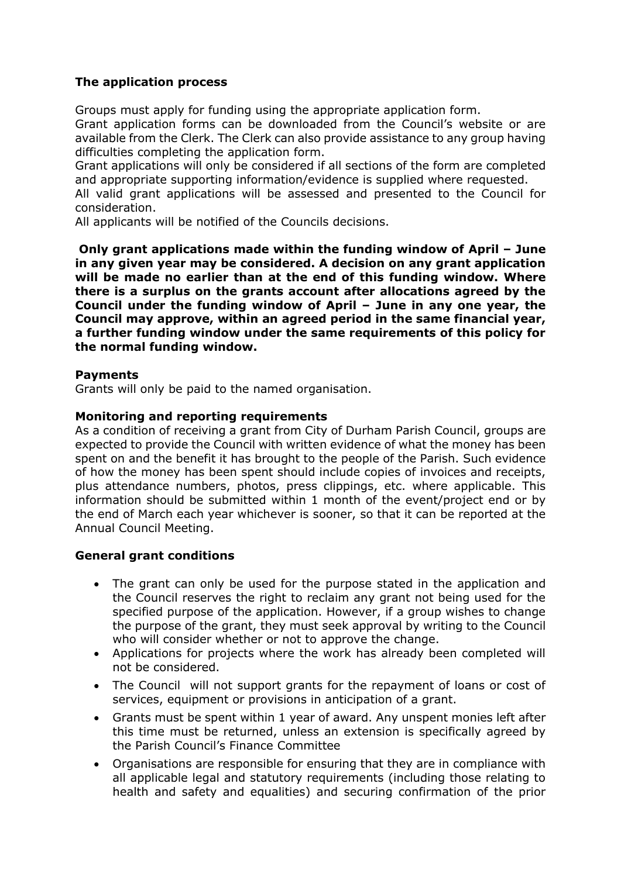# **The application process**

Groups must apply for funding using the appropriate application form. Grant application forms can be downloaded from the Council's website or are available from the Clerk. The Clerk can also provide assistance to any group having difficulties completing the application form.

Grant applications will only be considered if all sections of the form are completed and appropriate supporting information/evidence is supplied where requested.

All valid grant applications will be assessed and presented to the Council for consideration.

All applicants will be notified of the Councils decisions.

**Only grant applications made within the funding window of April – June in any given year may be considered. A decision on any grant application will be made no earlier than at the end of this funding window. Where there is a surplus on the grants account after allocations agreed by the Council under the funding window of April – June in any one year, the Council may approve, within an agreed period in the same financial year, a further funding window under the same requirements of this policy for the normal funding window.** 

### **Payments**

Grants will only be paid to the named organisation.

#### **Monitoring and reporting requirements**

As a condition of receiving a grant from City of Durham Parish Council, groups are expected to provide the Council with written evidence of what the money has been spent on and the benefit it has brought to the people of the Parish. Such evidence of how the money has been spent should include copies of invoices and receipts, plus attendance numbers, photos, press clippings, etc. where applicable. This information should be submitted within 1 month of the event/project end or by the end of March each year whichever is sooner, so that it can be reported at the Annual Council Meeting.

### **General grant conditions**

- The grant can only be used for the purpose stated in the application and the Council reserves the right to reclaim any grant not being used for the specified purpose of the application. However, if a group wishes to change the purpose of the grant, they must seek approval by writing to the Council who will consider whether or not to approve the change.
- Applications for projects where the work has already been completed will not be considered.
- The Council will not support grants for the repayment of loans or cost of services, equipment or provisions in anticipation of a grant.
- Grants must be spent within 1 year of award. Any unspent monies left after this time must be returned, unless an extension is specifically agreed by the Parish Council's Finance Committee
- Organisations are responsible for ensuring that they are in compliance with all applicable legal and statutory requirements (including those relating to health and safety and equalities) and securing confirmation of the prior